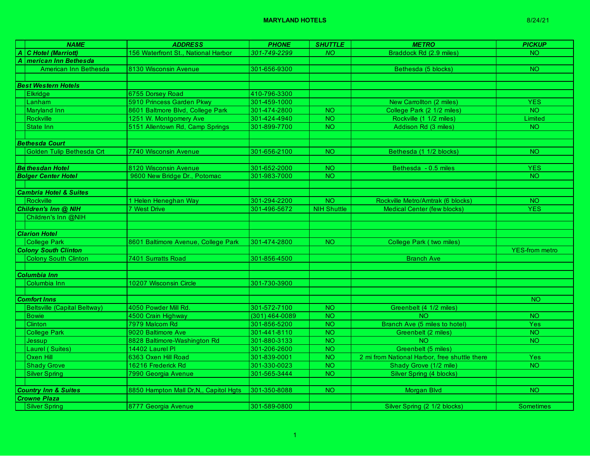| <b>NAME</b>                         | <b>ADDRESS</b>                         | <b>PHONE</b>     | <b>SHUTTLE</b>     | <b>METRO</b>                                  | <b>PICKUP</b>         |
|-------------------------------------|----------------------------------------|------------------|--------------------|-----------------------------------------------|-----------------------|
| A C Hotel (Marriott)                | 156 Waterfront St., National Harbor    | 301-749-2299     | <b>NO</b>          | Braddock Rd (2.9 miles)                       | NO <sub>1</sub>       |
| A <i>merican Inn Bethesda</i>       |                                        |                  |                    |                                               |                       |
| American Inn Bethesda               | 8130 Wisconsin Avenue                  | 301-656-9300     |                    | Bethesda (5 blocks)                           | NO <sub>1</sub>       |
|                                     |                                        |                  |                    |                                               |                       |
| <b>Best Western Hotels</b>          |                                        |                  |                    |                                               |                       |
| <b>Elkridge</b>                     | 6755 Dorsey Road                       | 410-796-3300     |                    |                                               |                       |
| Lanham                              | 5910 Princess Garden Pkwy              | 301-459-1000     |                    | New Carrollton (2 miles)                      | <b>YES</b>            |
| Maryland Inn                        | 8601 Baltmore Blvd, College Park       | 301-474-2800     | <b>NO</b>          | College Park (2 1/2 miles)                    | $\overline{N}$        |
| <b>Rockville</b>                    | 1251 W. Montgomery Ave                 | 301-424-4940     | $\overline{10}$    | Rockville (1 1/2 miles)                       | Limited               |
| State Inn                           | 5151 Allentown Rd, Camp Springs        | 301-899-7700     | NO.                | Addison Rd (3 miles)                          | NO.                   |
|                                     |                                        |                  |                    |                                               |                       |
| <b>Bethesda Court</b>               |                                        |                  |                    |                                               |                       |
| Golden Tulip Bethesda Crt           | 7740 Wisconsin Avenue                  | 301-656-2100     | NO.                | Bethesda (1 1/2 blocks)                       | <b>NO</b>             |
|                                     |                                        |                  |                    |                                               |                       |
| <b>Be thesdan Hotel</b>             | 8120 Wisconsin Avenue                  | 301-652-2000     | <b>NO</b>          | Bethesda - 0.5 miles                          | <b>YES</b>            |
| <b>Bolger Center Hotel</b>          | 9600 New Bridge Dr., Potomac           | 301-983-7000     | NO <sub>1</sub>    |                                               | <b>NO</b>             |
|                                     |                                        |                  |                    |                                               |                       |
| <b>Cambria Hotel &amp; Suites</b>   |                                        |                  |                    |                                               |                       |
| Rockville                           | 1 Helen Heneghan Way                   | 301-294-2200     | NO <sub>1</sub>    | Rockville Metro/Amtrak (6 blocks)             | NO.                   |
| Children's Inn @ NIH                | 7 West Drive                           | 301-496-5672     | <b>NIH Shuttle</b> | <b>Medical Center (few blocks)</b>            | <b>YES</b>            |
| Children's Inn @NIH                 |                                        |                  |                    |                                               |                       |
|                                     |                                        |                  |                    |                                               |                       |
| <b>Clarion Hotel</b>                |                                        |                  |                    |                                               |                       |
| College Park                        | 8601 Baltimore Avenue, College Park    | 301-474-2800     | NO <sub>1</sub>    | College Park (two miles)                      |                       |
| <b>Colony South Clinton</b>         |                                        |                  |                    |                                               | <b>YES-from metro</b> |
| Colony South Clinton                | 7401 Surratts Road                     | 301-856-4500     |                    | <b>Branch Ave</b>                             |                       |
|                                     |                                        |                  |                    |                                               |                       |
| <b>Columbia Inn</b>                 |                                        |                  |                    |                                               |                       |
| Columbia Inn                        | 10207 Wisconsin Circle                 | 301-730-3900     |                    |                                               |                       |
|                                     |                                        |                  |                    |                                               |                       |
| <b>Comfort Inns</b>                 |                                        |                  |                    |                                               | NO.                   |
| <b>Beltsville (Capital Beltway)</b> | 4050 Powder Mill Rd.                   | 301-572-7100     | <b>NO</b>          | Greenbelt (4 1/2 miles)                       |                       |
| <b>Bowie</b>                        | 4500 Crain Highway                     | $(301)$ 464-0089 | $\overline{N}$     | NO.                                           | NO <sub>1</sub>       |
| Clinton                             | 7979 Malcom Rd                         | 301-856-5200     | <b>NO</b>          | Branch Ave (5 miles to hotel)                 | Yes                   |
| <b>College Park</b>                 | 9020 Baltimore Ave                     | 301-441-8110     | $\overline{NO}$    | Greenbelt (2 miles)                           | $\overline{N}$        |
| Jessup                              | 8828 Baltimore-Washington Rd           | 301-880-3133     | <b>NO</b>          | <b>NO</b>                                     | NO <sub>1</sub>       |
| Laurel (Suites)                     | 14402 Laurel PI                        | 301-206-2600     | <b>NO</b>          | Greenbelt (5 miles)                           |                       |
| Oxen Hill                           | 6363 Oxen Hill Road                    | 301-839-0001     | <b>NO</b>          | 2 mi from National Harbor, free shuttle there | <b>Yes</b>            |
| <b>Shady Grove</b>                  | 16216 Frederick Rd                     | 301-330-0023     | <b>NO</b>          | Shady Grove (1/2 mile)                        | <b>NO</b>             |
| <b>Silver Spring</b>                | 7990 Georgia Avenue                    | 301-565-3444     | <b>NO</b>          | Silver Spring (4 blocks)                      |                       |
|                                     |                                        |                  |                    |                                               |                       |
| <b>Country Inn &amp; Suites</b>     | 8850 Hampton Mall Dr, N,, Capitol Hgts | 301-350-8088     | <b>NO</b>          | Morgan Blvd                                   | $\overline{N}$        |
| <b>Crowne Plaza</b>                 |                                        |                  |                    |                                               |                       |
| <b>Silver Spring</b>                | 8777 Georgia Avenue                    | 301-589-0800     |                    | Silver Spring (2 1/2 blocks)                  | Sometimes             |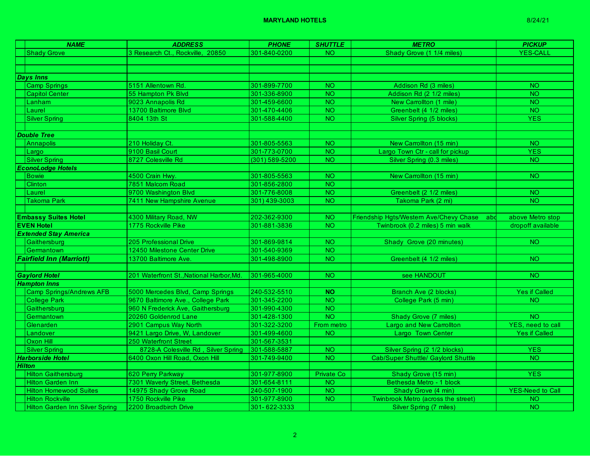## **MARYLAND HOTELS** 8/24/21

| <b>NAME</b>                     | <b>ADDRESS</b>                           | <b>PHONE</b>   | <b>SHUTTLE</b>  | <b>METRO</b>                                   | <b>PICKUP</b>             |
|---------------------------------|------------------------------------------|----------------|-----------------|------------------------------------------------|---------------------------|
| <b>Shady Grove</b>              | 3 Research Ct., Rockville, 20850         | 301-840-0200   | NO.             | Shady Grove (1 1/4 miles)                      | <b>YES-CALL</b>           |
|                                 |                                          |                |                 |                                                |                           |
|                                 |                                          |                |                 |                                                |                           |
| Days Inns                       |                                          |                |                 |                                                |                           |
| <b>Camp Springs</b>             | 5151 Allentown Rd.                       | 301-899-7700   | $\overline{NO}$ | Addison Rd (3 miles)                           | NO <sub>1</sub>           |
| <b>Capitol Center</b>           | 55 Hampton Pk Blvd                       | 301-336-8900   | <b>NO</b>       | Addison Rd (2 1/2 miles)                       | <b>NO</b>                 |
| Lanham                          | 9023 Annapolis Rd                        | 301-459-6600   | <b>NO</b>       | New Carrollton (1 mile)                        | <b>NO</b>                 |
| Laurel                          | 13700 Baltimore Blvd                     | 301-470-4406   | <b>NO</b>       | Greenbelt (4 1/2 miles)                        | NO <sub>1</sub>           |
| <b>Silver Spring</b>            | 8404 13th St                             | 301-588-4400   | <b>NO</b>       | Silver Spring (5 blocks)                       | <b>YES</b>                |
|                                 |                                          |                |                 |                                                |                           |
| <b>Double Tree</b>              |                                          |                |                 |                                                |                           |
| Annapolis                       | 210 Holiday Ct.                          | 301-805-5563   | <b>NO</b>       | New Carrollton (15 min)                        | <b>NO</b>                 |
| Largo                           | 9100 Basil Court                         | 301-773-0700   | $\overline{NO}$ | Largo Town Ctr - call for pickup               | <b>YES</b>                |
| Silver Spring                   | 8727 Colesville Rd                       | (301) 589-5200 | <b>NO</b>       | Silver Spring (0.3 miles)                      | NO <sub>1</sub>           |
| <b>EconoLodge Hotels</b>        |                                          |                |                 |                                                |                           |
| <b>Bowie</b>                    | 4500 Crain Hwy.                          | 301-805-5563   | <b>NO</b>       | New Carrollton (15 min)                        | <b>NO</b>                 |
| Clinton                         | 7851 Malcom Road                         | 301-856-2800   | <b>NO</b>       |                                                |                           |
| Laurel                          | 9700 Washington Blvd                     | 301-776-8008   | <b>NO</b>       | Greenbelt (2 1/2 miles)                        | <b>NO</b>                 |
| <b>Takoma Park</b>              | 7411 New Hampshire Avenue                | 301) 439-3003  | <b>NO</b>       | Takoma Park (2 mi)                             | <b>NO</b>                 |
|                                 |                                          |                |                 |                                                |                           |
| <b>Embassy Suites Hotel</b>     | 4300 Military Road, NW                   | 202-362-9300   | <b>NO</b>       | Friendship Hgts/Western Ave/Chevy Chase<br>abd | above Metro stop          |
| <b>EVEN Hotel</b>               | 1775 Rockville Pike                      | 301-881-3836   | $\overline{NO}$ | Twinbrook (0.2 miles) 5 min walk               | dropoff available         |
| <b>Extended Stay America</b>    |                                          |                |                 |                                                |                           |
| Gaithersburg                    | 205 Professional Drive                   | 301-869-9814   | <b>NO</b>       | Shady Grove (20 minutes)                       | <b>NO</b>                 |
| Germantown                      | 12450 Milestone Center Drive             | 301-540-9369   | <b>NO</b>       |                                                |                           |
| <b>Fairfield Inn (Marriott)</b> | 13700 Baltimore Ave.                     | 301-498-8900   | <b>NO</b>       | Greenbelt (4 1/2 miles)                        | NO.                       |
|                                 |                                          |                |                 |                                                |                           |
| <b>Gaylord Hotel</b>            | 201 Waterfront St., National Harbor, Md. | 301-965-4000   | $\overline{NO}$ | see HANDOUT                                    | <b>NO</b>                 |
| <b>Hampton Inns</b>             |                                          |                |                 |                                                |                           |
| <b>Camp Springs/Andrews AFB</b> | 5000 Mercedes Blvd, Camp Springs         | 240-532-5510   | $\overline{N}$  | Branch Ave (2 blocks)                          | <b>Yes if Called</b>      |
| <b>College Park</b>             | 9670 Baltimore Ave., College Park        | 301-345-2200   | $\overline{NO}$ | College Park (5 min)                           | <b>NO</b>                 |
| Gaithersburg                    | 960 N Frederick Ave, Gaithersburg        | 301-990-4300   | $\overline{NO}$ |                                                |                           |
| Germantown                      | 20260 Goldenrod Lane                     | 301-428-1300   | <b>NO</b>       | Shady Grove (7 miles)                          | NO <sub>1</sub>           |
| Glenarden                       | 2901 Campus Way North                    | 301-322-3200   | From metro      | Largo and New Carrollton                       | <b>YES</b> , need to call |
| Landover                        | 9421 Largo Drive, W, Landover            | 301-499-4600   | <b>NO</b>       | Largo Town Center                              | <b>Yes if Called</b>      |
| Oxon Hill                       | 250 Waterfront Street                    | 301-567-3531   |                 |                                                |                           |
| <b>Silver Spring</b>            | 8728-A Colesville Rd, Silver Spring      | 301-588-5887   | <b>NO</b>       | Silver Spring (2 1/2 blocks)                   | <b>YES</b>                |
| <b>Harborside Hotel</b>         | 6400 Oxon Hill Road, Oxon Hill           | 301-749-9400   | <b>NO</b>       | <b>Cab/Super Shuttle/ Gaylord Shuttle</b>      | <b>NO</b>                 |
| <b>Hilton</b>                   |                                          |                |                 |                                                |                           |
| <b>Hilton Gaithersburg</b>      | 620 Perry Parkway                        | 301-977-8900   | Private Co      | Shady Grove (15 min)                           | <b>YES</b>                |
| <b>Hilton Garden Inn</b>        | 7301 Waverly Street, Bethesda            | 301-654-8111   | <b>NO</b>       | Bethesda Metro - 1 block                       |                           |
| <b>Hilton Homewood Suites</b>   | 14975 Shady Grove Road                   | 240-507-1900   | <b>NO</b>       | Shady Grove (4 min)                            | <b>YES-Need to Call</b>   |
| <b>Hilton Rockville</b>         | 1750 Rockville Pike                      | 301-977-8900   | <b>NO</b>       | Twinbrook Metro (across the street)            | <b>NO</b>                 |
| Hilton Garden Inn Silver Spring | 2200 Broadbirch Drive                    | 301-622-3333   |                 | Silver Spring (7 miles)                        | <b>NO</b>                 |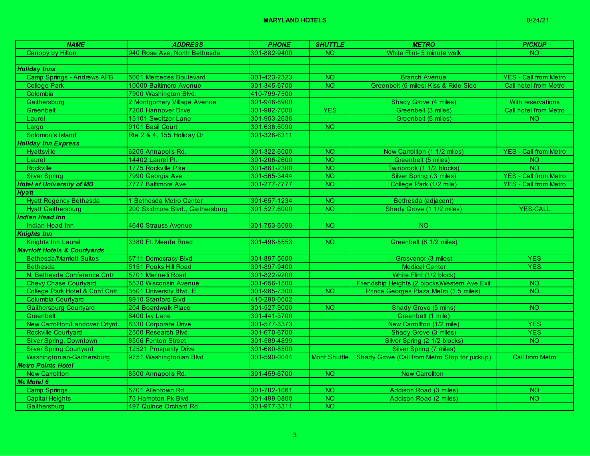|                                         | <b>NAME</b>                       | <b>ADDRESS</b>                   | <b>PHONE</b> | <b>SHUTTLE</b>  | <b>METRO</b>                                                 | <b>PICKUP</b>                |
|-----------------------------------------|-----------------------------------|----------------------------------|--------------|-----------------|--------------------------------------------------------------|------------------------------|
|                                         | Canopy by Hilton                  | 940 Rose Ave, North Bethesda     | 301-882-9400 | NO.             | White Flint- 5 minute walk                                   | NO <sub>1</sub>              |
|                                         |                                   |                                  |              |                 |                                                              |                              |
|                                         | <b>Holiday Inns</b>               |                                  |              |                 |                                                              |                              |
|                                         | <b>Camp Springs - Andrews AFB</b> | 5001 Mercedes Boulevard          | 301-423-2323 | NO <sub>1</sub> | <b>Branch Avenue</b>                                         | <b>YES - Call from Metro</b> |
|                                         | <b>College Park</b>               | 10000 Baltimore Avenue           | 301-345-6700 | NO.             | Greenbelt (5 miles) Kiss & Ride Side                         | <b>Call hotel from Metro</b> |
|                                         | Colombia                          | 7900 Washington Blvd.            | 410-799-7500 |                 |                                                              |                              |
|                                         | Gaithersburg                      | 2 Montgomery Village Avenue      | 301-948-8900 |                 | <b>Shady Grove (4 miles)</b>                                 | With reservations            |
|                                         | Greenbelt                         | 7200 Hannover Drive              | 301-982-7000 | <b>YES</b>      | Greenbelt (3 miles)                                          | <b>Call hotel from Metro</b> |
|                                         | Laurel                            | 15101 Sweitzer Lane              | 301-953-2636 |                 | Greenbelt (6 miles)                                          | NO <sub>1</sub>              |
|                                         | Largo                             | 9101 Basil Court                 | 301.636.6090 | NO.             |                                                              |                              |
|                                         | Solomon's Island                  | Rte 2 & 4, 155 Holiday Dr        | 301-326-6311 |                 |                                                              |                              |
|                                         | <b>Holiday Inn Express</b>        |                                  |              |                 |                                                              |                              |
|                                         | <b>Hyattsville</b>                | 6205 Annapolis Rd.               | 301-322-6000 | NO.             | New Carrollton (1 1/2 miles)                                 | <b>YES - Call from Metro</b> |
|                                         | Laurel                            | 14402 Laurel Pl.                 | 301-206-2600 | $\overline{NO}$ | Greenbelt (5 miles)                                          | <b>NO</b>                    |
|                                         | Rockville                         | 1775 Rockville Pike              | 301-881-2300 | NO <sub>1</sub> | Twinbrook (1 1/2 blocks)                                     | <b>NO</b>                    |
|                                         | <b>Silver Spring</b>              | 7990 Georgia Ave                 | 301-565-3444 | NO.             | Silver Spring (.3 miles)                                     | <b>YES - Call from Metro</b> |
|                                         | <b>Hotel at University of MD</b>  | 7777 Baltimore Ave               | 301-277-7777 | NO.             | College Park (1/2 mile)                                      | <b>YES - Call from Metro</b> |
|                                         | <b>Hyatt</b>                      |                                  |              |                 |                                                              |                              |
|                                         | <b>Hyatt Regency Bethesda</b>     | 1 Bethesda Metro Center          | 301-657-1234 | NO.             | Bethesda (adjacent)                                          |                              |
|                                         | <b>Hyatt Gaithersburg</b>         | 200 Skidmore Blvd., Gaithersburg | 301.527.6000 | <b>NO</b>       | Shady Grove (1 1/2 miles)                                    | <b>YES-CALL</b>              |
|                                         | <b>Indian Head Inn</b>            |                                  |              |                 |                                                              |                              |
|                                         | Indian Head Inn                   | 4640 Strauss Avenue              | 301-753-6090 | NO <sub>1</sub> | <b>NO</b>                                                    |                              |
|                                         | <b>Knights Inn</b>                |                                  |              |                 |                                                              |                              |
|                                         | Knights Inn Laurel                | 3380 Ft. Meade Road              | 301-498-5553 | $\overline{NO}$ | Greenbelt (6 1/2 miles)                                      |                              |
| <b>Marriott Hotels &amp; Courtyards</b> |                                   |                                  |              |                 |                                                              |                              |
|                                         | <b>Bethesda/Marriott Suites</b>   | 6711 Democracy Blvd              | 301-897-5600 |                 | Grosvenor (3 miles)                                          | <b>YES</b>                   |
|                                         | <b>Bethesda</b>                   | 5151 Pooks Hill Road             | 301-897-9400 |                 | <b>Medical Center</b>                                        | <b>YES</b>                   |
|                                         | N. Bethesda Conference Cntr       | 5701 Marinelli Road              | 301-822-9200 |                 | White Flint (1/2 block)                                      |                              |
|                                         | <b>Chevy Chase Courtyard</b>      | 5520 Wisconsin Avenue            | 301-656-1500 |                 | Friendship Heights (2 blocks) Western Ave Exit               | $\overline{NO}$              |
|                                         | College Park Hotel & Conf Cntr    | 3501 University Blvd. E          | 301-985-7300 | NO.             | Prince Georges Plaza Metro (1.5 miles)                       | NO <sub>1</sub>              |
|                                         | Columbia Courtyard                | 8910 Stanford Blvd               | 410-290-0002 |                 |                                                              |                              |
|                                         | <b>Gaithersburg Courtyard</b>     | 204 Boardwalk Place              | 301-527-9000 | <b>NO</b>       | Shady Grove (5 mins)                                         | NO <sub>1</sub>              |
|                                         | Greenbelt                         | 6400 Ivy Lane                    | 301-441-3700 |                 | Greenbelt (1 mile)                                           |                              |
|                                         | New Carrollton/Landover Crtyrd.   | 8330 Corporate Drive             | 301-577-3373 |                 | New Carrollton (1/2 mile)                                    | <b>YES</b>                   |
|                                         | Rockville Courtyard               | 2500 Research Blvd.              | 301-670-6700 |                 | Shady Grove (3 miles)                                        | <b>YES</b>                   |
|                                         | Silver Spring, Downtown           | 8506 Fenton Street               | 301-589-4899 |                 | Silver Spring (2 1/2 blocks)                                 | NO <sub>1</sub>              |
|                                         | <b>Silver Spring Courtyard</b>    | 12521 Prosperity Drive           | 301-680-8500 |                 | Silver Spring (7 miles)                                      |                              |
|                                         | Washingtonian-Gaithersburg        | 9751 Washingtonian Blvd          | 301-590-0044 |                 | Mont Shuttle   Shady Grove (Call from Metro Stop for pickup) | <b>Call from Metro</b>       |
|                                         | <b>Metro Points Hotel</b>         |                                  |              |                 |                                                              |                              |
|                                         | <b>New Carrollton</b>             | 8500 Annapolis Rd.               | 301-459-6700 | NO.             | <b>New Carrollton</b>                                        |                              |
|                                         | <b>Md Motel 6</b>                 |                                  |              |                 |                                                              |                              |
|                                         | <b>Camp Springs</b>               | 5701 Allentown Rd                | 301-702-1061 | <b>NO</b>       | Addison Road (3 miles)                                       | <b>NO</b>                    |
|                                         | <b>Capital Heights</b>            | 75 Hampton Pk Blvd               | 301-499-0800 | <b>NO</b>       | Addison Road (2 miles)                                       | NO <sub>1</sub>              |
|                                         | Gaithersburg                      | 497 Quince Orchard Rd.           | 301-977-3311 | <b>NO</b>       |                                                              |                              |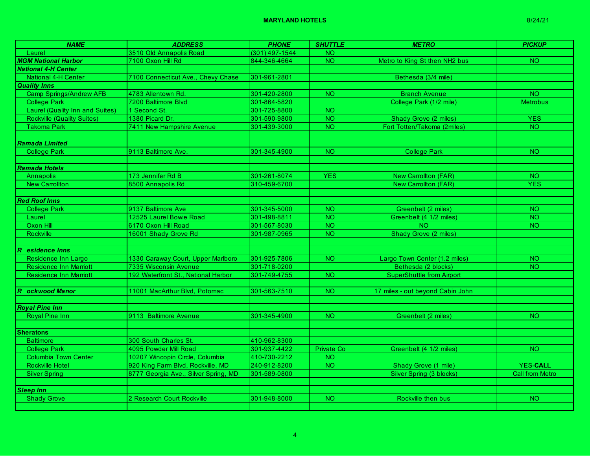|                  | <b>NAME</b>                            | <b>ADDRESS</b>                       | <b>PHONE</b>     | <b>SHUTTLE</b>  | <b>METRO</b>                     | <b>PICKUP</b>          |
|------------------|----------------------------------------|--------------------------------------|------------------|-----------------|----------------------------------|------------------------|
|                  | Laurel                                 | 3510 Old Annapolis Road              | $(301)$ 497-1544 | <b>NO</b>       |                                  |                        |
|                  | <b>MGM National Harbor</b>             | 7100 Oxon Hill Rd                    | 844-346-4664     | NO <sub>1</sub> | Metro to King St then NH2 bus    | NO.                    |
|                  | <b>National 4-H Center</b>             |                                      |                  |                 |                                  |                        |
|                  | National 4-H Center                    | 7100 Connecticut Ave., Chevy Chase   | 301-961-2801     |                 | Bethesda (3/4 mile)              |                        |
|                  | <b>Quality Inns</b>                    |                                      |                  |                 |                                  |                        |
|                  | Camp Springs/Andrew AFB                | 4783 Allentown Rd.                   | 301-420-2800     | NO <sub>1</sub> | <b>Branch Avenue</b>             | <b>NO</b>              |
|                  | <b>College Park</b>                    | <b>7200 Baltimore Blyd</b>           | 301-864-5820     |                 | College Park (1/2 mile)          | <b>Metrobus</b>        |
|                  | <b>Laurel (Quality Inn and Suites)</b> | 1 Second St.                         | 301-725-8800     | NO.             |                                  |                        |
|                  | <b>Rockville (Quality Suites)</b>      | 1380 Picard Dr.                      | 301-590-9800     | $\overline{N}$  | <b>Shady Grove (2 miles)</b>     | <b>YES</b>             |
|                  | <b>Takoma Park</b>                     | 7411 New Hampshire Avenue            | 301-439-3000     | NO.             | Fort Totten/Takoma (2miles)      | NO.                    |
|                  |                                        |                                      |                  |                 |                                  |                        |
|                  | Ramada Limited                         |                                      |                  |                 |                                  |                        |
|                  | <b>College Park</b>                    | 9113 Baltimore Ave.                  | 301-345-4900     | <b>NO</b>       | <b>College Park</b>              | <b>NO</b>              |
|                  |                                        |                                      |                  |                 |                                  |                        |
|                  | Ramada Hotels                          |                                      |                  |                 |                                  |                        |
|                  | Annapolis                              | 173 Jennifer Rd B                    | 301-261-8074     | <b>YES</b>      | <b>New Carrollton (FAR)</b>      | <b>NO</b>              |
|                  | <b>New Carrollton</b>                  | 8500 Annapolis Rd                    | 310-459-6700     |                 | <b>New Carrollton (FAR)</b>      | <b>YES</b>             |
|                  |                                        |                                      |                  |                 |                                  |                        |
|                  | <b>Red Roof Inns</b>                   |                                      |                  |                 |                                  |                        |
|                  | <b>College Park</b>                    | 9137 Baltimore Ave                   | 301-345-5000     | NO <sub>1</sub> | Greenbelt (2 miles)              | NO <sub>1</sub>        |
|                  | Laurel                                 | 12525 Laurel Bowie Road              | 301-498-8811     | <b>NO</b>       | Greenbelt (4 1/2 miles)          | NO.                    |
|                  | Oxon Hill                              | 6170 Oxon Hill Road                  | 301-567-8030     | <b>NO</b>       | <b>NO</b>                        | NO.                    |
|                  | Rockville                              | 16001 Shady Grove Rd                 | 301-987-0965     | <b>NO</b>       | Shady Grove (2 miles)            |                        |
|                  |                                        |                                      |                  |                 |                                  |                        |
|                  | R esidence Inns                        |                                      |                  |                 |                                  |                        |
|                  | Residence Inn Largo                    | 1330 Caraway Court, Upper Marlboro   | 301-925-7806     | <b>NO</b>       | Largo Town Center (1.2 miles)    | NO <sub>1</sub>        |
|                  | <b>Residence Inn Marriott</b>          | <b>7335 Wisconsin Avenue</b>         | 301-718-0200     |                 | Bethesda (2 blocks)              | NO.                    |
|                  | <b>Residence Inn Marriott</b>          | 192 Waterfront St., National Harbor  | 301-749-4755     | NO.             | <b>SuperShuttle from Airport</b> |                        |
|                  |                                        |                                      |                  |                 |                                  |                        |
|                  | R <b>ockwood Manor</b>                 | 11001 MacArthur Blvd, Potomac        | 301-563-7510     | NO <sub>1</sub> | 17 miles - out beyond Cabin John |                        |
|                  |                                        |                                      |                  |                 |                                  |                        |
|                  | <b>Royal Pine Inn</b>                  |                                      |                  |                 |                                  |                        |
|                  | <b>Royal Pine Inn</b>                  | 9113 Baltimore Avenue                | 301-345-4900     | NO <sub>1</sub> | Greenbelt (2 miles)              | NO.                    |
|                  |                                        |                                      |                  |                 |                                  |                        |
|                  | <b>Sheratons</b>                       |                                      |                  |                 |                                  |                        |
|                  | <b>Baltimore</b>                       | 300 South Charles St.                | 410-962-8300     |                 |                                  |                        |
|                  | <b>College Park</b>                    | 4095 Powder Mill Road                | 301-937-4422     | Private Co      | Greenbelt (4 1/2 miles)          | <b>NO</b>              |
|                  | <b>Columbia Town Center</b>            | 10207 Wincopin Circle, Columbia      | 410-730-2212     | NO <sub>1</sub> |                                  |                        |
|                  | <b>Rockville Hotel</b>                 | 920 King Farm Blvd, Rockville, MD    | 240-912-8200     | NO.             | Shady Grove (1 mile)             | <b>YES-CALL</b>        |
|                  | <b>Silver Spring</b>                   | 8777 Georgia Ave., Silver Spring, MD | 301-589-0800     |                 | Silver Spring (3 blocks)         | <b>Call from Metro</b> |
|                  |                                        |                                      |                  |                 |                                  |                        |
| <b>Sleep Inn</b> |                                        |                                      |                  |                 |                                  |                        |
|                  | <b>Shady Grove</b>                     | 2 Research Court Rockville           | 301-948-8000     | <b>NO</b>       | Rockville then bus               | <b>NO</b>              |
|                  |                                        |                                      |                  |                 |                                  |                        |